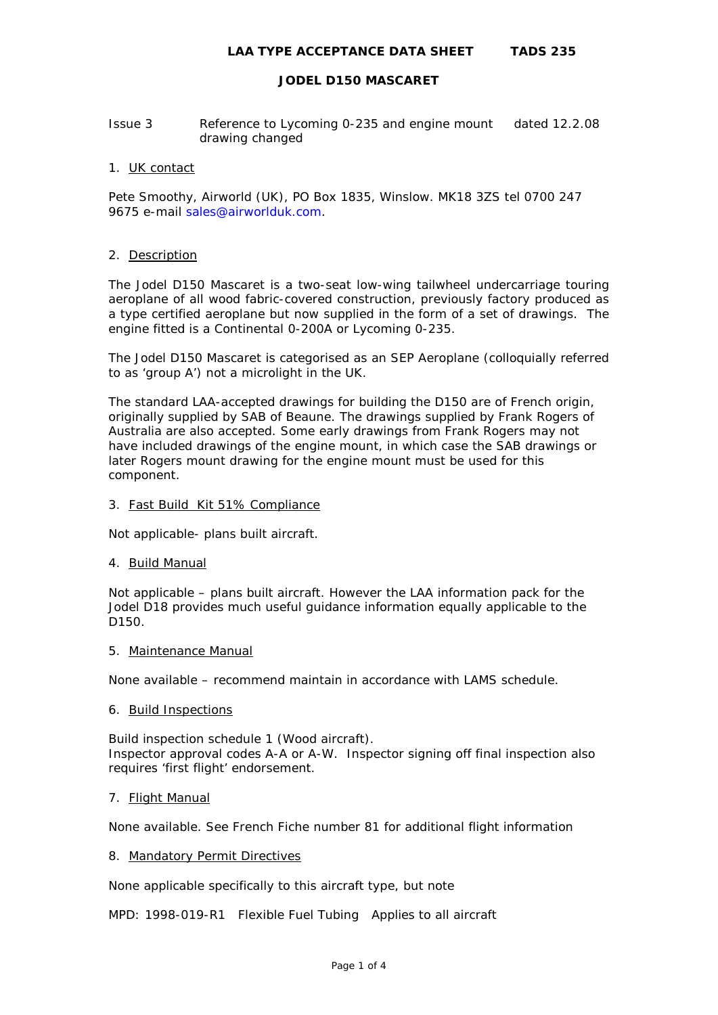- Issue 3 Reference to Lycoming 0-235 and engine mount dated 12.2.08 drawing changed
- 1. UK contact

Pete Smoothy, Airworld (UK), PO Box 1835, Winslow. MK18 3ZS tel 0700 247 9675 e-mail [sales@airworlduk.com.](mailto:sales@airworlduk.com)

#### 2. Description

The Jodel D150 Mascaret is a two-seat low-wing tailwheel undercarriage touring aeroplane of all wood fabric-covered construction, previously factory produced as a type certified aeroplane but now supplied in the form of a set of drawings. The engine fitted is a Continental 0-200A or Lycoming 0-235.

The Jodel D150 Mascaret is categorised as an SEP Aeroplane (colloquially referred to as 'group A') not a microlight in the UK.

The standard LAA-accepted drawings for building the D150 are of French origin, originally supplied by SAB of Beaune. The drawings supplied by Frank Rogers of Australia are also accepted. Some early drawings from Frank Rogers may not have included drawings of the engine mount, in which case the SAB drawings or later Rogers mount drawing for the engine mount must be used for this component.

#### 3. Fast Build Kit 51% Compliance

Not applicable- plans built aircraft.

4. Build Manual

Not applicable – plans built aircraft. However the LAA information pack for the Jodel D18 provides much useful guidance information equally applicable to the D150.

5. Maintenance Manual

None available – recommend maintain in accordance with LAMS schedule.

6. Build Inspections

Build inspection schedule 1 (Wood aircraft). Inspector approval codes A-A or A-W. Inspector signing off final inspection also requires 'first flight' endorsement.

#### 7. Flight Manual

None available. See French Fiche number 81 for additional flight information

## 8. Mandatory Permit Directives

None applicable specifically to this aircraft type, but note

MPD: 1998-019-R1 Flexible Fuel Tubing Applies to all aircraft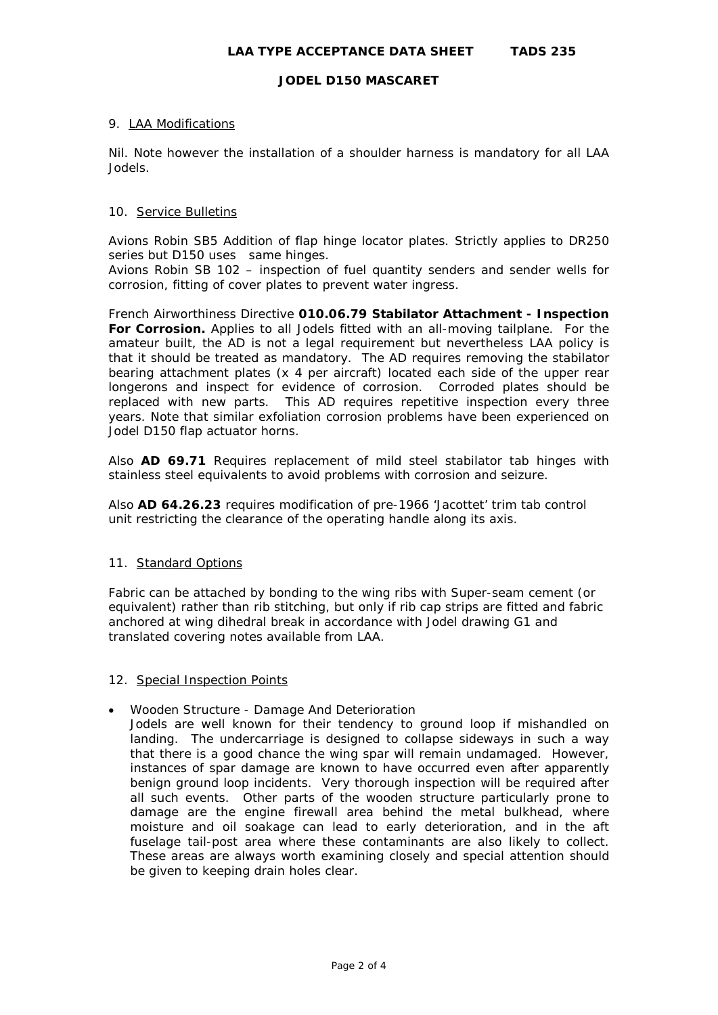### 9. LAA Modifications

Nil. Note however the installation of a shoulder harness is mandatory for all LAA Jodels.

### 10. Service Bulletins

Avions Robin SB5 Addition of flap hinge locator plates. Strictly applies to DR250 series but D150 uses same hinges.

Avions Robin SB 102 – inspection of fuel quantity senders and sender wells for corrosion, fitting of cover plates to prevent water ingress.

French Airworthiness Directive **010.06.79 Stabilator Attachment - Inspection For Corrosion.** Applies to all Jodels fitted with an all-moving tailplane. For the amateur built, the AD is not a legal requirement but nevertheless LAA policy is that it should be treated as mandatory. The AD requires removing the stabilator bearing attachment plates (x 4 per aircraft) located each side of the upper rear longerons and inspect for evidence of corrosion. Corroded plates should be replaced with new parts. *This AD requires repetitive inspection every three years.* Note that similar exfoliation corrosion problems have been experienced on Jodel D150 flap actuator horns*.* 

Also **AD 69.71** Requires replacement of mild steel stabilator tab hinges with stainless steel equivalents to avoid problems with corrosion and seizure.

Also **AD 64.26.23** requires modification of pre-1966 'Jacottet' trim tab control unit restricting the clearance of the operating handle along its axis.

#### 11. Standard Options

Fabric can be attached by bonding to the wing ribs with Super-seam cement (or equivalent) rather than rib stitching, but only if rib cap strips are fitted and fabric anchored at wing dihedral break in accordance with Jodel drawing G1 and translated covering notes available from LAA.

#### 12. Special Inspection Points

• Wooden Structure - Damage And Deterioration

Jodels are well known for their tendency to ground loop if mishandled on landing. The undercarriage is designed to collapse sideways in such a way that there is a good chance the wing spar will remain undamaged. However, instances of spar damage are known to have occurred even after apparently benign ground loop incidents. Very thorough inspection will be required after all such events. Other parts of the wooden structure particularly prone to damage are the engine firewall area behind the metal bulkhead, where moisture and oil soakage can lead to early deterioration, and in the aft fuselage tail-post area where these contaminants are also likely to collect. These areas are always worth examining closely and special attention should be given to keeping drain holes clear.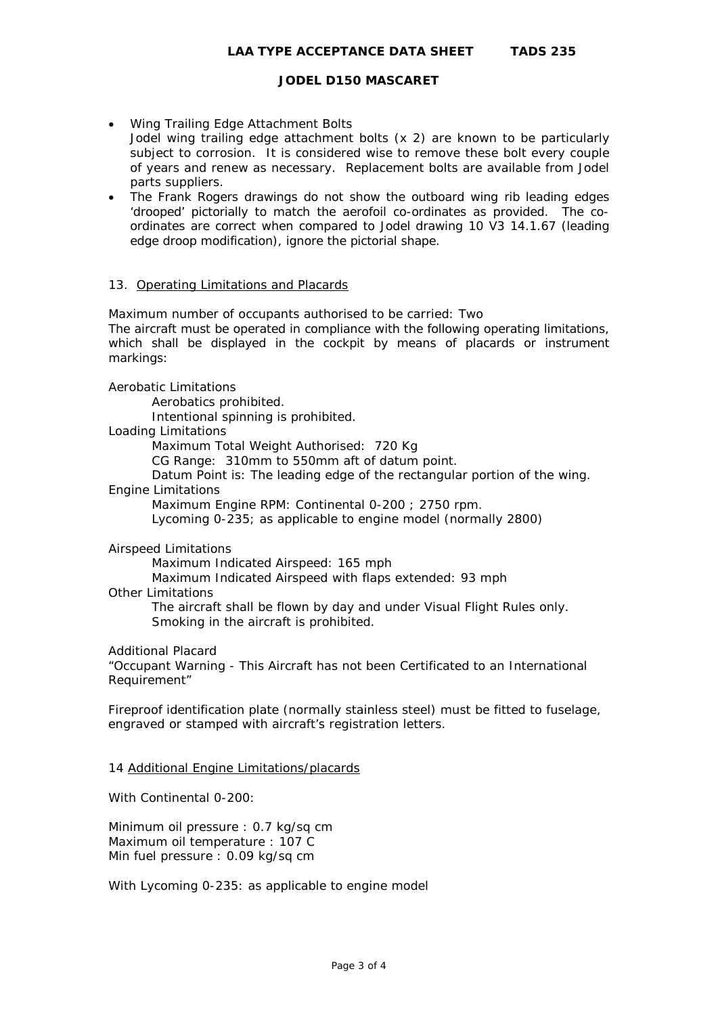- Wing Trailing Edge Attachment Bolts Jodel wing trailing edge attachment bolts (x 2) are known to be particularly subject to corrosion. It is considered wise to remove these bolt every couple of years and renew as necessary. Replacement bolts are available from Jodel parts suppliers.
- The Frank Rogers drawings do not show the outboard wing rib leading edges 'drooped' pictorially to match the aerofoil co-ordinates as provided. The coordinates are correct when compared to Jodel drawing 10 V3 14.1.67 (leading edge droop modification), ignore the pictorial shape.

#### 13. Operating Limitations and Placards

Maximum number of occupants authorised to be carried: Two The aircraft must be operated in compliance with the following operating limitations, which shall be displayed in the cockpit by means of placards or instrument markings:

#### Aerobatic Limitations

Aerobatics prohibited.

Intentional spinning is prohibited.

#### Loading Limitations

Maximum Total Weight Authorised: 720 Kg

CG Range: 310mm to 550mm aft of datum point.

Datum Point is: The leading edge of the rectangular portion of the wing.

# Engine Limitations

Maximum Engine RPM: Continental 0-200 ; 2750 rpm.

Lycoming 0-235; as applicable to engine model (normally 2800)

## Airspeed Limitations

Maximum Indicated Airspeed: 165 mph

Maximum Indicated Airspeed with flaps extended: 93 mph

# Other Limitations

The aircraft shall be flown by day and under Visual Flight Rules only. Smoking in the aircraft is prohibited.

## Additional Placard

"Occupant Warning - This Aircraft has not been Certificated to an International Requirement"

Fireproof identification plate (normally stainless steel) must be fitted to fuselage, engraved or stamped with aircraft's registration letters.

#### 14 Additional Engine Limitations/placards

With Continental 0-200:

Minimum oil pressure : 0.7 kg/sq cm Maximum oil temperature : 107 C Min fuel pressure : 0.09 kg/sq cm

With Lycoming 0-235: as applicable to engine model